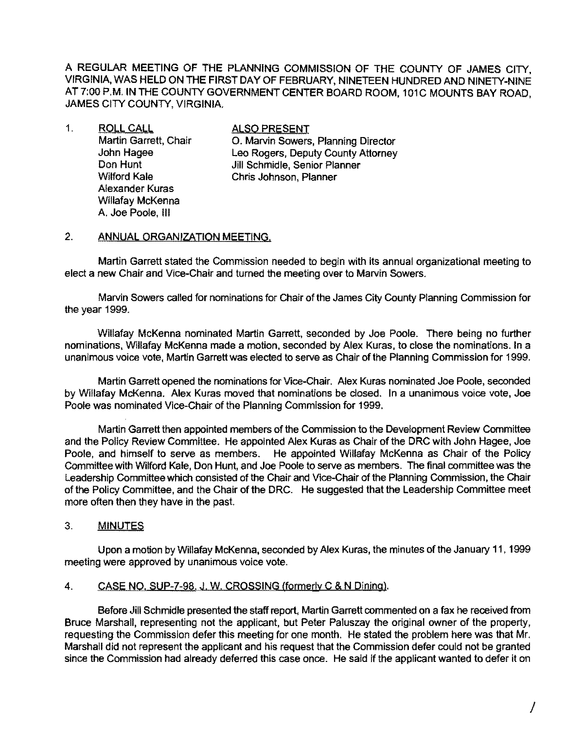A REGULAR MEETING OF THE PLANNING COMMISSION OF THE COUNTY OF JAMES CITY, VIRGINIA, WAS HELD ON THE FIRST DAY OF FEBRUARY, NINETEEN HUNDRED AND NINETY-NINE AT 7:00 P.M. IN THE COUNTY GOVERNMENT CENTER BOARD ROOM, 101C MOUNTS BAY ROAD, JAMES CITY COUNTY, VIRGINIA.

1. ROLL CALL **ALSO PRESENT**<br>Martin Garrett, Chair **Canada Coll Martin Sowers** Alexander Kuras Willafay McKenna A. Joe Poole, III

O. Marvin Sowers, Planning Director John Hagee Leo Rogers, Deputy County Attorney Don Hunt Jill Schmidle, Senior Planner Wilford Kale Chris Johnson, Planner

#### 2. ANNUAL ORGANIZATION MEETING.

Martin Garrett stated the Commission needed to begin with its annual organizational meeting to elect a new Chair and Vice-Chair and turned the meeting over to Marvin Sowers.

Marvin Sowers called for nominations for Chair of the James City County Planning Commission for the year 1999.

Willafay McKenna nominated Martin Garrett, seconded by Joe Poole. There being no further nominations, Willafay McKenna made a motion, seconded by Alex Kuras, to close the nominations. In a unanimous voice vote, Martin Garrett was elected to serve as Chair of the Planning Commission for 1999.

Martin Garrett opened the nominations for Vice-Chair. Alex Kuras nominated Joe Poole, seconded by Willafay McKenna. Alex Kuras moved that nominations be dosed. In a unanimous voice vote, Joe Poole was nominated Vice-Chair of the Planning Commission for 1999.

Martin Garrett then appointed members of the Commission to the Development Review Committee and the Policy Review Committee. He appointed Alex Kuras as Chair of the DRC with John Hagee, Joe Poole, and himself to serve as members. He appointed Willafay McKenna as Chair of the Policy Committee with Wilford Kale, Don Hunt, and Joe Poole to serve as members. The final committee was the Leadership Committee which consisted of the Chair and Vice-Chair of the Planning Commission, the Chair of the Policy Committee, and the Chair of the DRC. He suggested that the Leadership Committee meet more often then they have in the past.

#### 3. **MINUTES**

Upon a motion by Willafay McKenna, seconded by Alex Kuras, the minutes of the January 11, 1999 meeting were approved by unanimous voice vote.

#### 4. CASE NO. SUP-7-98. J. W. CROSSING (formerly C & N Dining).

Before Jill Schmidle presented the staff report, Martin Garrett commented on a fax he received from Bruce Marshall, representing not the applicant, but Peter Paluszay the original owner of the property, requesting the Commission defer this meeting for one month. He stated the problem here was that Mr. Marshall did not represent the applicant and his request that the Commission defer could not be granted since the Commission had already deferred this case once. He said if the applicant wanted to defer it on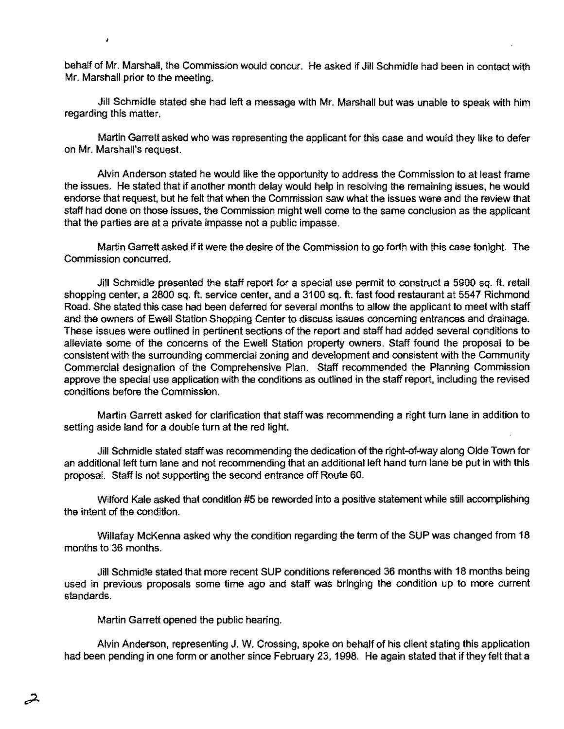behalf of Mr. Marshall, the Commission would concur. He asked if Jill Schmidle had been in contact with Mr. Marshall prior to the meeting.

Jill Schmidle stated she had left a message with Mr. Marshall but was unable to speak with him regarding this matter.

Martin Garrett asked who was representing the applicant for this case and would they like to defer on Mr. Marshall's request.

Alvin Anderson stated he would like the opportunity to address the Commission to at least frame the issues. He stated that if another month delay would help in resolving the remaining issues, he would endorse that request, but he felt that when the Commission saw what the issues were and the review that staff had done on those issues, the Commission might well come to the same conclusion as the applicant that the parties are at a private impasse not a public impasse.

Martin Garrett asked if it were the desire of the Commission to go forth with this case tonight. The Commission concurred.

Jill Schmidle presented the staff report for a special use permit to construct a 5900 sq. ft. retail shopping center, a 2800 sq. ft. service center, and a 3100 sq. ft. fast food restaurant at 5547 Richmond Road. She stated this case had been deferred for several months to allow the applicant to meet with staff and the owners of Ewell Station Shopping Center to discuss issues concerning entrances and drainage. These issues were outlined in pertinent sections of the report and staff had added several conditions to alleviate some of the concerns of the Ewell Station property owners. Staff found the proposal to be consistent with the surrounding commercial zoning and development and consistent with the Community Commercial designation of the Comprehensive Plan. Staff recommended the Planning Commission approve the special use application with the conditions as outlined in the staff report, including the revised conditions before the Commission.

Martin Garrett asked for clarification that staff was recommending a right turn lane in addition to setting aside land for a double turn at the red light.

Jill Schmidle stated staff was recommending the dedication of the right-of-way along Olde Town for an additional left tum lane and not recommending that an additional left hand turn lane be put in with this proposal. Staff is not supporting the second entrance off Route 60.

Wilford Kale asked that condition #5 be reworded into a positive statement while still accomplishing the intent of the condition.

Willafay McKenna asked why the condition regarding the term of the SUP was changed from 18 months to 36 months.

Jill Schmidle stated that more recent SUP conditions referenced 36 months with 18 months being used in previous proposals some time ago and staff was bringing the condition up to more current standards.

Martin Garrett opened the public hearing.

Alvin Anderson, representing J. W. Crossing, spoke on behalf of his client stating this application had been pending in one form or another since February 23, 1998. He again stated that if they felt that a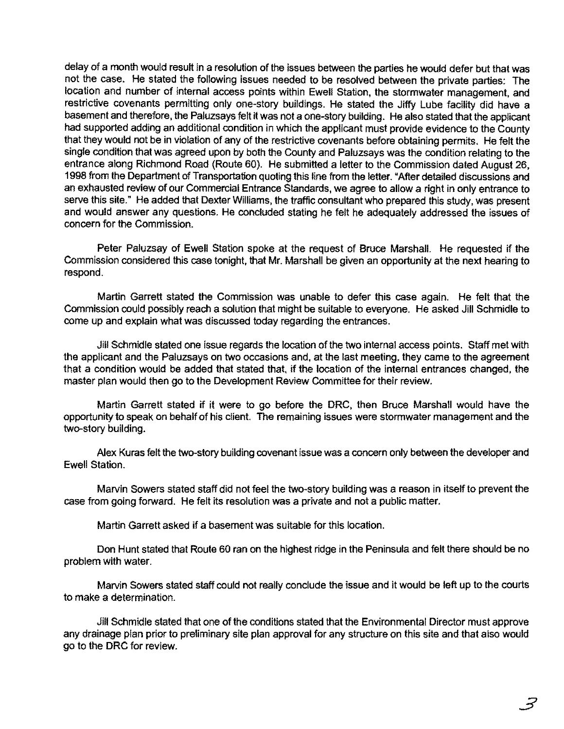delay of a month would result in a resolution of the issues between the parties he would defer but that was not the case. He stated the following issues needed to be resolved between the private parties: The location and number of intemal access points within Ewell Station, the stormwater management, and restrictive covenants permitting only one-story buildings. He stated the Jiffy Lube facility did have a basement and therefore, the Paluzsays felt it was not a one-story building. He also stated that the applicant had supported adding an additional condition in which the applicant must provide evidence to the County that they would not be in violation of any of the restrictive covenants before obtaining permits. He felt the single condition that was agreed upon by both the County and Paluzsays was the condition relating to the entrance along Richmond Road (Route 60). He submitted a letter to the Commission dated August 26, 1998 from the Department of Transportation quoting this line from the letter. "After detailed discussions and an exhausted review of our Commercial Entrance Standards, we agree to allow a right in only entrance to serve this site." He added that Dexter Williams, the traffic consultant who prepared this study, was present and would answer any questions. He concluded stating he felt he adequately addressed the issues of concern for the Commission.

Peter Paluzsay of Ewell Station spoke at the request of Bruce Marshall. He requested if the Commission considered this case tonight, that Mr. Marshall be given an opportunity at the next hearing to respond.

Martin Garrett stated the Commission was unable to defer this case again. He felt that the Commission could possibly reach a solution that might be suitable to everyone. He asked Jill Schmidle to come up and explain what was discussed today regarding the entrances.

Jill Schmidle stated one issue regards the location of the two internal access points. Staff met with the applicant and the Paluzsays on two occasions and, at the last meeting. they came to the agreement that a condition would be added that stated that. if the location of the intemal entrances changed, the master plan would then go to the Development Review Committee for their review.

Martin Garrett stated if it were to go before the DRC. then Bruce Marshall would have the opportunity to speak on behalf of his client. The remaining issues were stonmwater management and the two-story building.

Alex Kuras felt the two-story building covenant issue was a concern only between the developer and Ewell Station.

Marvin Sowers stated staff did not feel the two-story building was a reason in itself to prevent the case from going forward. He felt its resolution was a private and not a public matter.

Martin Garrett asked if a basement was suitable for this location.

Don Hunt stated that Route 60 ran on the highest ridge in the Peninsula and felt there should be no problem with water.

Marvin Sowers stated staff could not really conclude the issue and it would be left up to the courts to make a determination.

Jill Schmidle stated that one of the conditions stated that the Environmental Director must approve any drainage plan prior to preliminary site plan approval for any structure on this site and that also would go to the DRC for review.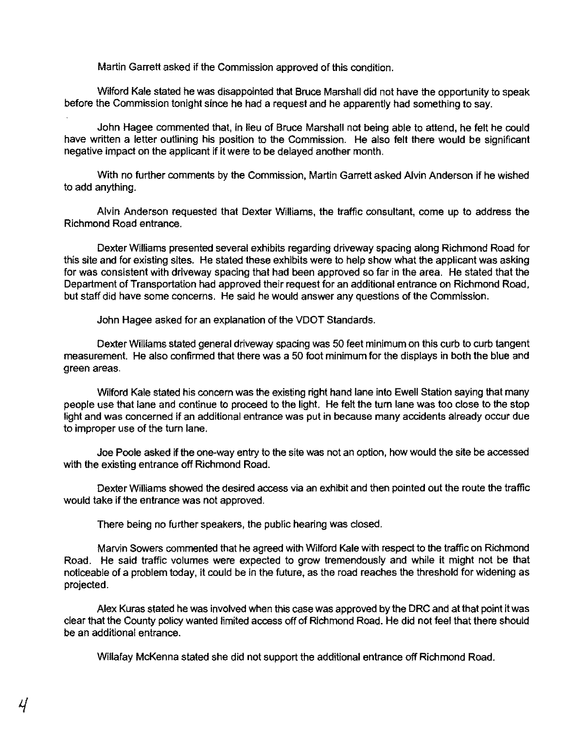Martin Garrett asked if the Commission approved of this condition.

Wilford Kale stated he was disappointed that Bruce Marshall did not have the opportunity to speak before the Commission tonight since he had a request and he apparently had something to say.

John Hagee commented that, in lieu of Bruce Marshall not being able to attend, he felt he could have written a letter outlining his position to the Commission. He also felt there would be significant negative impact on the applicant if it were to be delayed another month.

With no further comments by the Commission, Martin Garrett asked Alvin Anderson if he wished to add anything.

Alvin Anderson requested that Dexter Williams, the traffic consultant, come up to address the Richmond Road entrance.

Dexter Williams presented several exhibits regarding driveway spacing along Richmond Road for this site and for existing sites. He stated these exhibits were to help show what the applicant was asking for was consistent with driveway spacing that had been approved so far in the area. He stated that the Department of Transportation had approved their request for an additional entrance on Richmond Road, but staff did have some concerns. He said he would answer any questions of the Commission.

John Hagee asked for an explanation of the VDOT Standards.

Dexter Williams stated general driveway spacing was 50 feet minimum on this curb to curb tangent measurement. He also confirmed that there was a 50 foot minimum for the displays in both the blue and green areas.

Wilford Kale stated his concern was the existing right hand lane into Ewell Station saying that many people use that lane and continue to proceed to the light. He felt the turn lane was too close to the stop light and was concerned if an additional entrance was put in because many accidents already occur due to improper use of the tum lane.

Joe Poole asked if the one-way entry to the site was not an option, how would the site be accessed with the existing entrance off Richmond Road.

Dexter Williams showed the desired access via an exhibit and then pointed out the route the traffic would take if the entrance was not approved.

There being no further speakers, the public hearing was closed.

Marvin Sowers commented that he agreed with Wilford Kale with respect to the traffic on Richmond Road. He said traffic volumes were expected to grow tremendously and while it might not be that noticeable of a problem today, it could be in the future, as the road reaches the threshold for widening as projected.

Alex Kuras stated he was involved when this case was approved by the DRC and at that point it was clear that the County policy wanted limited access off of Richmond Road. He did not feel that there should be an additional entrance.

Willafay McKenna stated she did not support the additional entrance off Richmond Road.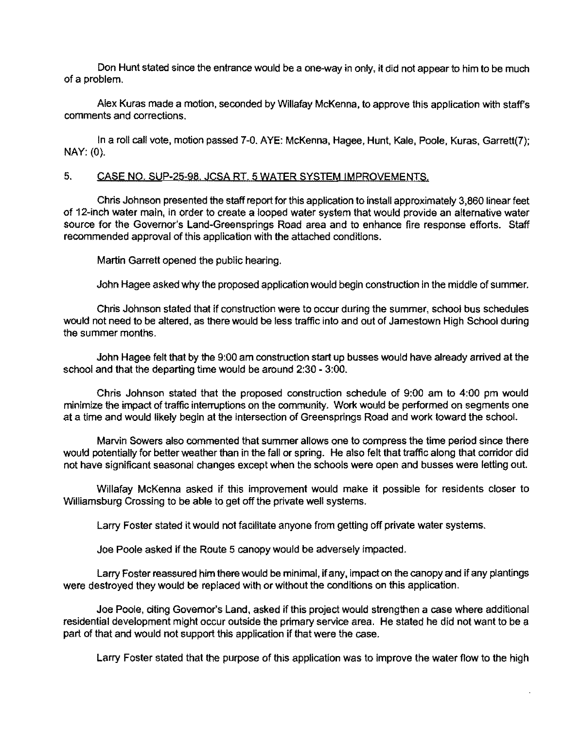Don Hunt stated since the entrance would be a one-way in only, it did not appear to him to be much of a problem.

Alex Kuras made a motion, seconded by Willafay McKenna, to approve this application with staffs comments and corrections.

In a roll call vote, motion passed 7-0. AYE: McKenna, Hagee, Hunt, Kale, Poole, Kuras, Garrett(7); NAY: (0).

## 5. CASE NO. SUP-25-98. JCSA RT. 5 WATER SYSTEM IMPROVEMENTS,

Chris Johnson presented the staff repori for this application to install approximately 3,860 linear feet of 12-inch water main, in order to create a looped water system that would provide an altemative water source for the Govemor's Land-Greensprings Road area and to enhance fire response efforts. Staff recommended approval of this application with the attached conditions.

Martin Garrett opened the public hearing.

John Hagee asked why the proposed application would begin construction in the middle of summer.

Chris Johnson stated that if construction were to occur during the summer, school bus schedules would not need to be altered, as there would be less traffic into and out of Jamestown High School during the summer months.

John Hagee felt that by the 9:00 am construction start up busses would have already arrived at the school and that the departing time would be around 2:30 - 3:00.

Chris Johnson stated that the proposed construction schedule of 9:00 am to 4:00 pm would minimize the impact of traffic interruptions on the community. Work would be performed on segments one at a time and would likely begin at the intersection of Greensprings Road and work toward the school.

Marvin Sowers also commented that summer allows one to compress the time period since there would potentially for better weather than in the fall or spring, He also felt that traffic along that corridor did not have significant seasonal changes except when the schools were open and busses were letting out.

Willafay McKenna asked if this improvement would make it possible for residents closer to Williamsburg Crossing to be able to get off the private well systems.

Larry Foster stated it would not facilitate anyone from getting off private water systems.

Joe Poole asked if the Route 5 canopy would be adversely impacted.

Larry Foster reassured him there would be minimal, if any, impact on the canopy and if any plantings were destroyed they would be replaced with or without the conditions on this application.

Joe Poole, citing Govemor's Land, asked if this project would strengthen a case where additional residential development might occur outside the primary service area. He stated he did not want to be a part of that and would not support this application if that were the case.

Larry Foster stated that the purpose of this application was to improve the water flow to the high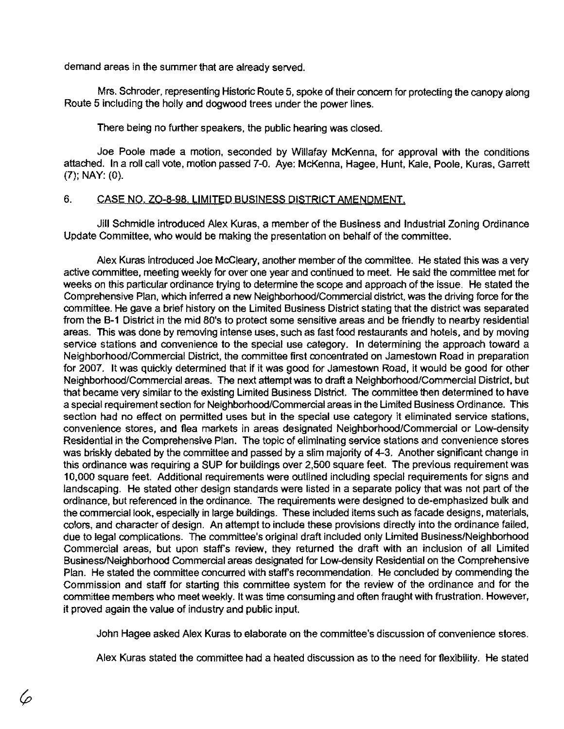demand areas in the summer that are already served.

Mrs. Schroder, representing Historic Route 5, spoke of their concem for protecting the canopy along Route 5 including the holly and dogwood trees under the power lines.

There being no further speakers, the public hearing was closed.

Joe Poole made a motion, seconded by Willafay McKenna, for approval with the conditions attached. In a roll call vote, motion passed 7-0. Aye: McKenna, Hagee, Hunt, Kale, Poole, Kuras, Garrett (7); NAY: (0).

# 6. CASE NO. ZO-8-98. LIMITED BUSINESS DISTRICT AMENDMENT,

Jill Schmidle introduced Alex Kuras, a member of the Business and Industrial Zoning Ordinance Update Committee, who would be making the presentation on behalf of the committee.

Alex Kuras introduced Joe McCleary, another member of the committee. He stated this was a very active committee, meeting weekly for over one year and continued to meet. He said the committee met for weeks on this particular ordinance trying to determine the scope and approach of the issue. He stated the Comprehensive Plan, which inferred a new Neighborhood/Commercial distnct, was the driving force for the committee. He gave a brief history on the Limited Business District stating that the district was separated from the B-1 District in the mid 80's to protect some sensitive areas and be friendly to nearby residential areas. This was done by removing intense uses, such as fast food restaurants and hotels, and by moving service stations and convenience to the special use category. In determining the approach toward a Neighborhood/Commercial District, the committee first concentrated on Jamestown Road in preparation for 2007. It was quickly determined that if it was good for Jamestown Road, it would be good for other Neighborhood/Commercial areas. The next attempt was to draft a Neighborhood/Commercial District, but that became very similar to the existing Limited Business Distnct. The committee then determined to have a special requirement section for Neighborhood/Commercial areas in the Limited Business Ordinance. This section had no effect on permitted uses but in the special use category it eliminated service stations, convenience stores, and flea markets in areas designated Neighborhood/Commercial or Low-density Residential in the Comprehensive Plan. The topic of eliminating service stations and convenience stores was briskly debated by the committee and passed by a slim majority of 4-3. Another significant change in this ordinance was requiring a SUP for buildings over 2,500 square feet. The previous requirement was 10,000 square feet. Additional requirements were outlined including special requirements for signs and landscaping. He stated other design standards were listed in a separate policy that was not part of the ordinance, but referenced in the ordinance. The requirements were designed to de-emphasized bulk and the commercial look, especially in large buildings. These included items such as facade designs, materials, colors, and character of design. An attempt to include these provisions directly into the ordinance failed, due to legal complications. The committee's original draft included only Limited Business/Neighborhood Commercial areas, but upon staff's review, they returned the draft with an inclusion of all Limited Business/Neighborhood Commercial areas designated for Low-density Residential on the Comprehensive Plan. He stated the committee concurred with staff's recommendation. He concluded by commending the Commission and staff for starting this committee system for the review of the ordinance and for the committee members who meet weekly. It was time consuming and often fraught with frustration. However, it proved again the value of industry and public input.

John Hagee asked Alex Kuras to elaborate on the committee's discussion of convenience stores.

Alex Kuras stated the committee had a heated discussion as to the need for flexibility. He stated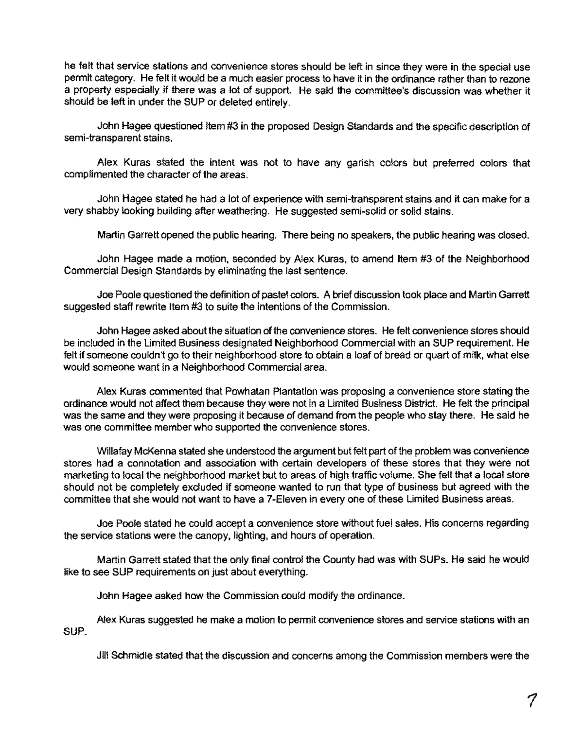he felt that service stations and convenience stores should be left in since they were in the special use permit category. He felt it would be a much easier process to have it in the ordinance rather than to rezone a property especially if there was a lot of support. He said the committee's discussion was whether it should be left in under the SUP or deleted entirely.

John Hagee questioned Item #3 in the proposed Design Standards and the specific description of semi-transparent stains.

Alex Kuras stated the intent was not to have any garish colors but preferred colors that complimented the character of the areas.

John Hagee stated he had a lot of experience with semi-transparent stains and it can make for a very shabby looking building after weathering. He suggested semi-solid or solid stains.

Martin Garrett opened the public hearing. There being no speakers, the public hearing was closed.

John Hagee made a motion. seconded by Alex Kuras. to amend Item #3 of the Neighborhood Commercial Design Standards by eliminating the last sentence.

Joe Poole questioned the definition of pastel colors. A brief discussion took place and Martin Garrett suggested staff rewrite Item #3 to suite the intentions of the Commission.

John Hagee asked about the situation of the convenience stores. He felt convenience stores should be included in the Limited Business designated Neighborhood Commercial with an SUP requirement. He felt if someone couldn't go to their neighborhood store to obtain a loaf of bread or quart of milk. what else would someone want in a Neighborhood Commercial area.

Alex Kuras commented that Powhatan Plantation was proposing a convenience store stating the ordinance would not affect them because they were not in a Limited Business District. He felt the principal was the same and they were proposing it because of demand from the people who stay there. He said he was one committee member who supported the convenience stores.

Willafay McKenna stated she understood the argument but felt part of the problem was convenience stores had a connotation and association with certain developers of these stores that they were not marketing to local the neighborhood market but to areas of high traffic volume. She felt that a local store should not be completely excluded if someone wanted to run that type of business but agreed with the committee that she would not want to have a 7 -Eleven in every one of these Limited Business areas.

Joe Poole stated he could accept a convenience store without fuel sales. His concerns regarding the service stations were the canopy, lighting, and hours of operation.

Martin Garrett stated that the only final control the County had was with SUPs. He said he would like to see SUP requirements on just about everything.

John Hagee asked how the Commission could modify the ordinance.

Alex Kuras suggested he make a motion to permit convenience stores and service stations with an SUP.

Jill Schmidle stated that the discussion and concerns among the Commission members were the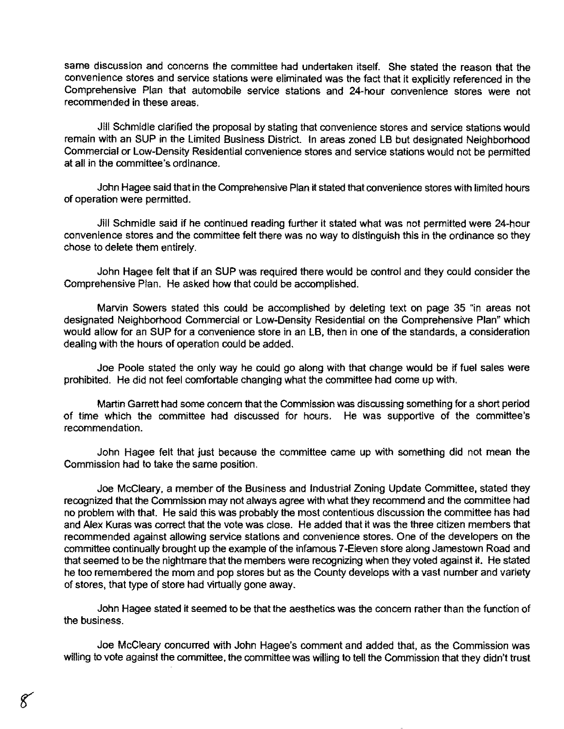same discussion and concerns the committee had undertaken itself. She stated the reason that the convenience stores and service stations were eliminated was the fact that it explicitly referenced in the Comprehensive Plan that automobile service stations and 24-hour convenience stores were not recommended in these areas.

Jill Schmidle clarified the proposal by stating that convenience stores and service stations would remain with an SUP in the Limited Business District. In areas zoned LB but designated Neighborhood Commercial or Low-Density Residential convenience stores and service stations would not be penmitted at all in the committee's ordinance.

John Hagee said that in the Comprehensive Plan it stated that convenience stores with limited hours of operation were permitted.

Jill Schmidle said if he continued reading further it stated what was not permitted were 24-hour convenience stores and the committee felt there was no way to distinguish this in the ordinance so they chose to delete them entirely.

John Hagee felt that if an SUP was required there would be control and they could consider the Comprehensive Plan. He asked how that could be accomplished.

Marvin Sowers stated this could be accomplished by deleting text on page 35 "in areas not designated Neighborhood Commercial or Low-Density Residential on the Comprehensive Plan" which would allow for an SUP for a convenience store in an LB, then in one of the standards, a consideration dealing with the hours of operation could be added.

Joe Poole stated the only way he could go along with that change would be if fuel sales were prohibited. He did not feel comfortable changing what the committee had come up with.

Martin Garrett had some concern that the Commission was discussing something for a short period of time which the committee had discussed for hours. He was supportive of the committee's recommendation.

John Hagee felt that just because the committee came up with something did not mean the Commission had to take the same position.

Joe McCleary, a member of the Business and Industrial Zoning Update Committee, stated they recognized that the Commission may not always agree with what they recommend and the committee had no problem with that. He said this was probably the most contentious discussion the committee has had and Alex Kuras was correct that the vote was close. He added that it was the three citizen members that recommended against allowing service stations and convenience stores. One of the developers on the committee continually brought up the example of the infamous 7 -Eleven store along Jamestown Road and that seemed to be the nightmare that the members were recognizing when they voted against it. He stated he too remembered the mom and pop stores but as the County develops with a vast number and variety of stores. that type of store had virtually gone away.

John Hagee stated it seemed to be that the aesthetics was the concern rather than the function of the business.

Joe McCleary concurred with John Hagee's comment and added that, as the Commission was willing to vote against the committee. the committee was willing to tell the Commission that they didn't trust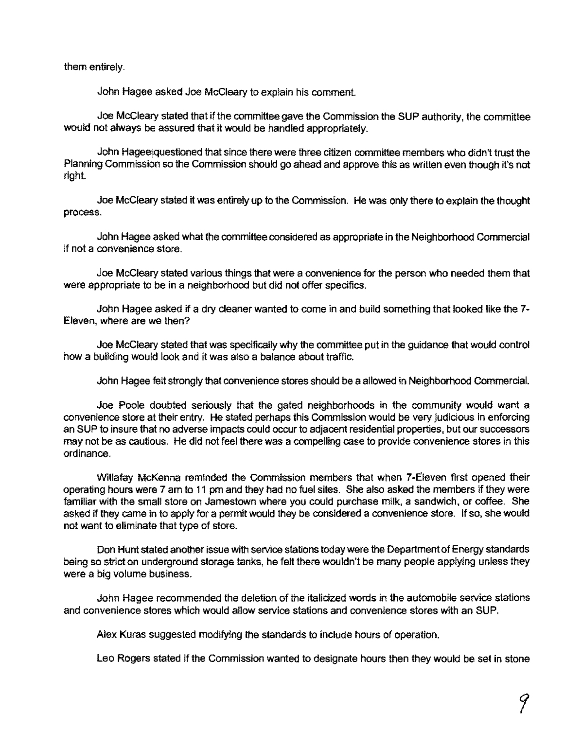them entirely.

John Hagee asked Joe McCleary to explain his comment.

Joe McCleary stated that if the committee gave the Commission the SUP authority, the committee would not always be assured that it would be handled appropriately.

John Hagee questioned that since there were three citizen committee members who didn't trust the Planning Commission so the Commission should go ahead and approve this as written even though it's not right.

Joe McCleary stated it was entirely up to the Commission. He was only there to explain the thought process.

John Hagee asked what the committee considered as appropriate in the Neighborhood Commercial if not a convenience store.

Joe McCleary stated various things that were a convenience for the person who needed them that were appropriate to be in a neighborhood but did not offer specifics.

John Hagee asked if a dry cleaner wanted to come in and build something that looked like the 7 Eleven, where are we then?

Joe McCleary stated that was specifically why the committee put in the guidance that would control how a building would look and it was also a balance about traffic.

John Hagee felt strongly that convenience stores should be a allowed in Neighborhood Commercial.

Joe Poole doubted seriously that the gated neighborhoods in the community would want a convenience store at their entry. He stated perhaps this Commission would be very judicious in enforcing an SUP to insure that no adverse impacts could occur to adjacent residential properties, but our successors may not be as cautious. He did not feel there was a compelling case to provide convenience stores in this ordinance.

Willafay McKenna reminded the Commission members that when 7-Eleven first opened their operating hours were 7 am to 11 pm and they had no fuel sites. She also asked the members if they were familiar with the small store on Jamestown where you could purchase milk, a sandwich, or coffee. She asked if they came in to apply for a permit would they be considered a convenience store. If so, she would not want to eliminate that type of store.

Don Hunt stated another issue with service stations today were the Department of Energy standards being so strict on underground storage tanks, he felt there wouldn't be many people applying unless they were a big volume business.

John Hagee recommended the deletion of the italicized words in the automobile service stations and convenience stores which would allow service stations and convenience stores with an SUP.

Alex Kuras suggested modifying the standards to include hours of operation.

Leo Rogers stated if the Commission wanted to designate hours then they would be set in stone